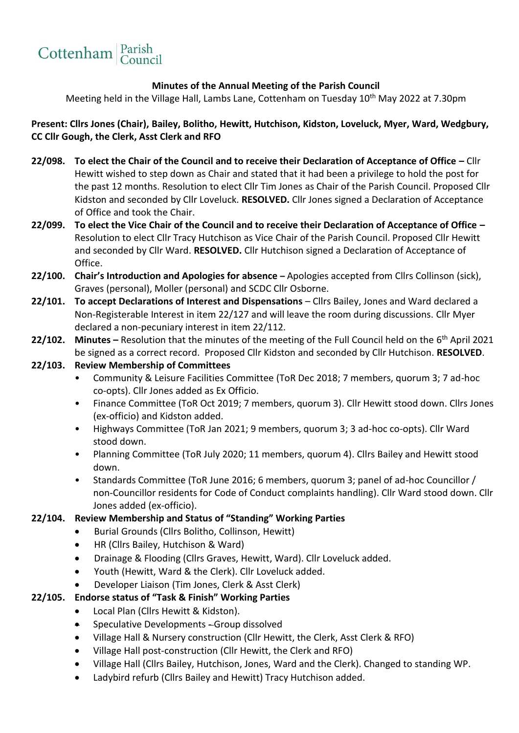# Cottenham Parish

### **Minutes of the Annual Meeting of the Parish Council**

Meeting held in the Village Hall, Lambs Lane, Cottenham on Tuesday 10<sup>th</sup> May 2022 at 7.30pm

**Present: Cllrs Jones (Chair), Bailey, Bolitho, Hewitt, Hutchison, Kidston, Loveluck, Myer, Ward, Wedgbury, CC Cllr Gough, the Clerk, Asst Clerk and RFO**

- **22/098. To elect the Chair of the Council and to receive their Declaration of Acceptance of Office –** Cllr Hewitt wished to step down as Chair and stated that it had been a privilege to hold the post for the past 12 months. Resolution to elect Cllr Tim Jones as Chair of the Parish Council. Proposed Cllr Kidston and seconded by Cllr Loveluck. **RESOLVED.** Cllr Jones signed a Declaration of Acceptance of Office and took the Chair.
- **22/099. To elect the Vice Chair of the Council and to receive their Declaration of Acceptance of Office –** Resolution to elect Cllr Tracy Hutchison as Vice Chair of the Parish Council. Proposed Cllr Hewitt and seconded by Cllr Ward. **RESOLVED.** Cllr Hutchison signed a Declaration of Acceptance of Office.
- **22/100. Chair's Introduction and Apologies for absence –** Apologies accepted from Cllrs Collinson (sick), Graves (personal), Moller (personal) and SCDC Cllr Osborne.
- **22/101. To accept Declarations of Interest and Dispensations**  Cllrs Bailey, Jones and Ward declared a Non-Registerable Interest in item 22/127 and will leave the room during discussions. Cllr Myer declared a non-pecuniary interest in item 22/112.
- **22/102. Minutes –** Resolution that the minutes of the meeting of the Full Council held on the 6 th April 2021 be signed as a correct record. Proposed Cllr Kidston and seconded by Cllr Hutchison. **RESOLVED**.

#### **22/103. Review Membership of Committees**

- Community & Leisure Facilities Committee (ToR Dec 2018; 7 members, quorum 3; 7 ad-hoc co-opts). Cllr Jones added as Ex Officio.
- Finance Committee (ToR Oct 2019; 7 members, quorum 3). Cllr Hewitt stood down. Cllrs Jones (ex-officio) and Kidston added.
- Highways Committee (ToR Jan 2021; 9 members, quorum 3; 3 ad-hoc co-opts). Cllr Ward stood down.
- Planning Committee (ToR July 2020; 11 members, quorum 4). Cllrs Bailey and Hewitt stood down.
- Standards Committee (ToR June 2016; 6 members, quorum 3; panel of ad-hoc Councillor / non-Councillor residents for Code of Conduct complaints handling). Cllr Ward stood down. Cllr Jones added (ex-officio).

#### **22/104. Review Membership and Status of "Standing" Working Parties**

- Burial Grounds (Cllrs Bolitho, Collinson, Hewitt)
- HR (Cllrs Bailey, Hutchison & Ward)
- Drainage & Flooding (Cllrs Graves, Hewitt, Ward). Cllr Loveluck added.
- Youth (Hewitt, Ward & the Clerk). Cllr Loveluck added.
- Developer Liaison (Tim Jones, Clerk & Asst Clerk)

#### **22/105. Endorse status of "Task & Finish" Working Parties**

- Local Plan (Cllrs Hewitt & Kidston).
- Speculative Developments Group dissolved
- Village Hall & Nursery construction (Cllr Hewitt, the Clerk, Asst Clerk & RFO)
- Village Hall post-construction (Cllr Hewitt, the Clerk and RFO)
- Village Hall (Cllrs Bailey, Hutchison, Jones, Ward and the Clerk). Changed to standing WP.
- Ladybird refurb (Cllrs Bailey and Hewitt) Tracy Hutchison added.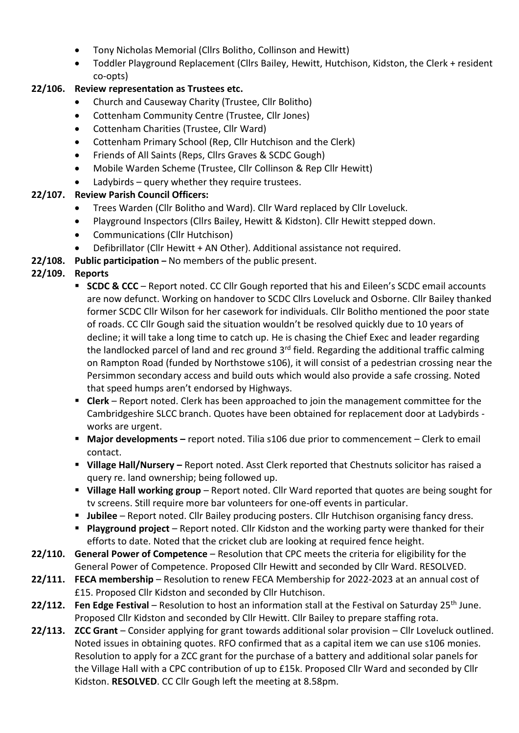- Tony Nicholas Memorial (Cllrs Bolitho, Collinson and Hewitt)
- Toddler Playground Replacement (Cllrs Bailey, Hewitt, Hutchison, Kidston, the Clerk + resident co-opts)

## **22/106. Review representation as Trustees etc.**

- Church and Causeway Charity (Trustee, Cllr Bolitho)
- Cottenham Community Centre (Trustee, Cllr Jones)
- Cottenham Charities (Trustee, Cllr Ward)
- Cottenham Primary School (Rep, Cllr Hutchison and the Clerk)
- Friends of All Saints (Reps, Cllrs Graves & SCDC Gough)
- Mobile Warden Scheme (Trustee, Cllr Collinson & Rep Cllr Hewitt)
- Ladybirds query whether they require trustees.

## **22/107. Review Parish Council Officers:**

- Trees Warden (Cllr Bolitho and Ward). Cllr Ward replaced by Cllr Loveluck.
- Playground Inspectors (Cllrs Bailey, Hewitt & Kidston). Cllr Hewitt stepped down.
- Communications (Cllr Hutchison)
- Defibrillator (Cllr Hewitt + AN Other). Additional assistance not required.
- **22/108. Public participation –** No members of the public present.

## **22/109. Reports**

- **SCDC & CCC** Report noted. CC Cllr Gough reported that his and Eileen's SCDC email accounts are now defunct. Working on handover to SCDC Cllrs Loveluck and Osborne. Cllr Bailey thanked former SCDC Cllr Wilson for her casework for individuals. Cllr Bolitho mentioned the poor state of roads. CC Cllr Gough said the situation wouldn't be resolved quickly due to 10 years of decline; it will take a long time to catch up. He is chasing the Chief Exec and leader regarding the landlocked parcel of land and rec ground  $3<sup>rd</sup>$  field. Regarding the additional traffic calming on Rampton Road (funded by Northstowe s106), it will consist of a pedestrian crossing near the Persimmon secondary access and build outs which would also provide a safe crossing. Noted that speed humps aren't endorsed by Highways.
- **Clerk** Report noted. Clerk has been approached to join the management committee for the Cambridgeshire SLCC branch. Quotes have been obtained for replacement door at Ladybirds works are urgent.
- **Major developments –** report noted. Tilia s106 due prior to commencement Clerk to email contact.
- **Village Hall/Nursery –** Report noted. Asst Clerk reported that Chestnuts solicitor has raised a query re. land ownership; being followed up.
- **Village Hall working group** Report noted. Cllr Ward reported that quotes are being sought for tv screens. Still require more bar volunteers for one-off events in particular.
- Jubilee Report noted. Cllr Bailey producing posters. Cllr Hutchison organising fancy dress.
- **Playground project** Report noted. Cllr Kidston and the working party were thanked for their efforts to date. Noted that the cricket club are looking at required fence height.
- **22/110. General Power of Competence** Resolution that CPC meets the criteria for eligibility for the General Power of Competence. Proposed Cllr Hewitt and seconded by Cllr Ward. RESOLVED.
- **22/111. FECA membership** Resolution to renew FECA Membership for 2022-2023 at an annual cost of £15. Proposed Cllr Kidston and seconded by Cllr Hutchison.
- **22/112. Fen Edge Festival**  Resolution to host an information stall at the Festival on Saturday 25th June. Proposed Cllr Kidston and seconded by Cllr Hewitt. Cllr Bailey to prepare staffing rota.
- **22/113. ZCC Grant** Consider applying for grant towards additional solar provision Cllr Loveluck outlined. Noted issues in obtaining quotes. RFO confirmed that as a capital item we can use s106 monies. Resolution to apply for a ZCC grant for the purchase of a battery and additional solar panels for the Village Hall with a CPC contribution of up to £15k. Proposed Cllr Ward and seconded by Cllr Kidston. **RESOLVED**. CC Cllr Gough left the meeting at 8.58pm.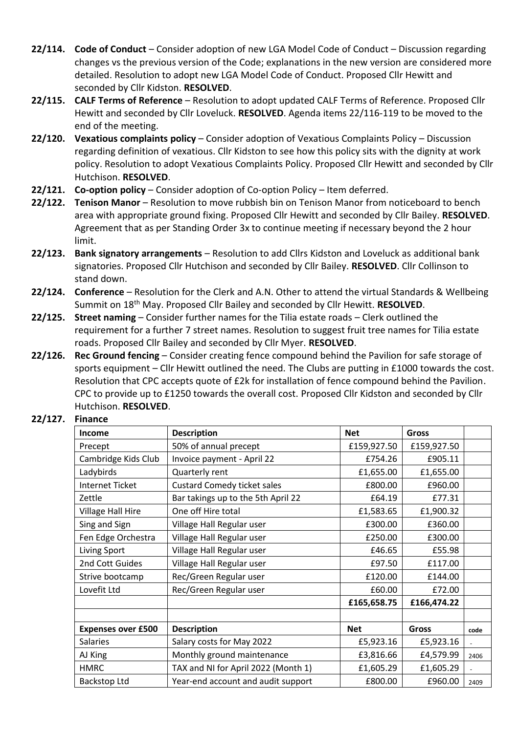- **22/114. Code of Conduct**  Consider adoption of new LGA Model Code of Conduct Discussion regarding changes vs the previous version of the Code; explanations in the new version are considered more detailed. Resolution to adopt new LGA Model Code of Conduct. Proposed Cllr Hewitt and seconded by Cllr Kidston. **RESOLVED**.
- **22/115. CALF Terms of Reference** Resolution to adopt updated CALF Terms of Reference. Proposed Cllr Hewitt and seconded by Cllr Loveluck. **RESOLVED**. Agenda items 22/116-119 to be moved to the end of the meeting.
- **22/120. Vexatious complaints policy** Consider adoption of Vexatious Complaints Policy Discussion regarding definition of vexatious. Cllr Kidston to see how this policy sits with the dignity at work policy. Resolution to adopt Vexatious Complaints Policy. Proposed Cllr Hewitt and seconded by Cllr Hutchison. **RESOLVED**.
- **22/121. Co-option policy**  Consider adoption of Co-option Policy Item deferred.
- **22/122. Tenison Manor** Resolution to move rubbish bin on Tenison Manor from noticeboard to bench area with appropriate ground fixing. Proposed Cllr Hewitt and seconded by Cllr Bailey. **RESOLVED**. Agreement that as per Standing Order 3x to continue meeting if necessary beyond the 2 hour limit.
- **22/123. Bank signatory arrangements** Resolution to add Cllrs Kidston and Loveluck as additional bank signatories. Proposed Cllr Hutchison and seconded by Cllr Bailey. **RESOLVED**. Cllr Collinson to stand down.
- **22/124. Conference** Resolution for the Clerk and A.N. Other to attend the virtual Standards & Wellbeing Summit on 18th May. Proposed Cllr Bailey and seconded by Cllr Hewitt. **RESOLVED**.
- **22/125. Street naming**  Consider further names for the Tilia estate roads Clerk outlined the requirement for a further 7 street names. Resolution to suggest fruit tree names for Tilia estate roads. Proposed Cllr Bailey and seconded by Cllr Myer. **RESOLVED**.
- **22/126. Rec Ground fencing** Consider creating fence compound behind the Pavilion for safe storage of sports equipment – Cllr Hewitt outlined the need. The Clubs are putting in £1000 towards the cost. Resolution that CPC accepts quote of £2k for installation of fence compound behind the Pavilion. CPC to provide up to £1250 towards the overall cost. Proposed Cllr Kidston and seconded by Cllr Hutchison. **RESOLVED**.

#### **22/127. Finance**

| Income                    | <b>Description</b>                  | <b>Net</b>  | <b>Gross</b> |      |
|---------------------------|-------------------------------------|-------------|--------------|------|
| Precept                   | 50% of annual precept               | £159,927.50 | £159,927.50  |      |
| Cambridge Kids Club       | Invoice payment - April 22          | £754.26     | £905.11      |      |
| Ladybirds                 | Quarterly rent                      | £1,655.00   | £1,655.00    |      |
| <b>Internet Ticket</b>    | <b>Custard Comedy ticket sales</b>  | £800.00     | £960.00      |      |
| Zettle                    | Bar takings up to the 5th April 22  | £64.19      | £77.31       |      |
| <b>Village Hall Hire</b>  | One off Hire total                  | £1,583.65   | £1,900.32    |      |
| Sing and Sign             | Village Hall Regular user           | £300.00     | £360.00      |      |
| Fen Edge Orchestra        | Village Hall Regular user           | £250.00     | £300.00      |      |
| Living Sport              | Village Hall Regular user           | £46.65      | £55.98       |      |
| 2nd Cott Guides           | Village Hall Regular user           | £97.50      | £117.00      |      |
| Strive bootcamp           | Rec/Green Regular user              | £120.00     | £144.00      |      |
| Lovefit Ltd               | Rec/Green Regular user              | £60.00      | £72.00       |      |
|                           |                                     | £165,658.75 | £166,474.22  |      |
|                           |                                     |             |              |      |
| <b>Expenses over £500</b> | <b>Description</b>                  | <b>Net</b>  | <b>Gross</b> | code |
| <b>Salaries</b>           | Salary costs for May 2022           | £5,923.16   | £5,923.16    |      |
| AJ King                   | Monthly ground maintenance          | £3,816.66   | £4,579.99    | 2406 |
| <b>HMRC</b>               | TAX and NI for April 2022 (Month 1) | £1,605.29   | £1,605.29    |      |
| Backstop Ltd              | Year-end account and audit support  | £800.00     | £960.00      | 2409 |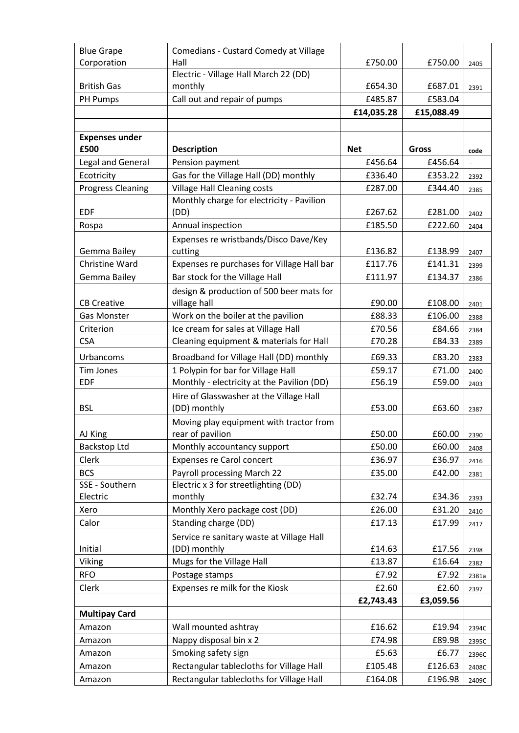| <b>Blue Grape</b>        | Comedians - Custard Comedy at Village      |            |            |       |
|--------------------------|--------------------------------------------|------------|------------|-------|
| Corporation              | Hall                                       | £750.00    | £750.00    | 2405  |
|                          | Electric - Village Hall March 22 (DD)      |            |            |       |
| <b>British Gas</b>       | monthly                                    | £654.30    | £687.01    | 2391  |
| PH Pumps                 | Call out and repair of pumps               | £485.87    | £583.04    |       |
|                          |                                            | £14,035.28 | £15,088.49 |       |
|                          |                                            |            |            |       |
| <b>Expenses under</b>    |                                            |            |            |       |
| £500                     | <b>Description</b>                         | <b>Net</b> | Gross      | code  |
| Legal and General        | Pension payment                            | £456.64    | £456.64    |       |
| Ecotricity               | Gas for the Village Hall (DD) monthly      | £336.40    | £353.22    | 2392  |
| <b>Progress Cleaning</b> | <b>Village Hall Cleaning costs</b>         | £287.00    | £344.40    | 2385  |
|                          | Monthly charge for electricity - Pavilion  |            |            |       |
| <b>EDF</b>               | (DD)                                       | £267.62    | £281.00    | 2402  |
| Rospa                    | Annual inspection                          | £185.50    | £222.60    | 2404  |
|                          | Expenses re wristbands/Disco Dave/Key      |            |            |       |
| Gemma Bailey             | cutting                                    | £136.82    | £138.99    | 2407  |
| Christine Ward           | Expenses re purchases for Village Hall bar | £117.76    | £141.31    | 2399  |
| Gemma Bailey             | Bar stock for the Village Hall             | £111.97    | £134.37    | 2386  |
|                          | design & production of 500 beer mats for   |            |            |       |
| <b>CB Creative</b>       | village hall                               | £90.00     | £108.00    | 2401  |
| <b>Gas Monster</b>       | Work on the boiler at the pavilion         | £88.33     | £106.00    | 2388  |
| Criterion                | Ice cream for sales at Village Hall        | £70.56     | £84.66     | 2384  |
| <b>CSA</b>               | Cleaning equipment & materials for Hall    | £70.28     | £84.33     | 2389  |
| Urbancoms                | Broadband for Village Hall (DD) monthly    | £69.33     | £83.20     | 2383  |
| Tim Jones                | 1 Polypin for bar for Village Hall         | £59.17     | £71.00     | 2400  |
| <b>EDF</b>               | Monthly - electricity at the Pavilion (DD) | £56.19     | £59.00     | 2403  |
|                          | Hire of Glasswasher at the Village Hall    |            |            |       |
| <b>BSL</b>               | (DD) monthly                               | £53.00     | £63.60     | 2387  |
|                          | Moving play equipment with tractor from    |            |            |       |
| AJ King                  | rear of pavilion                           | £50.00     | £60.00     | 2390  |
| Backstop Ltd             | Monthly accountancy support                | £50.00     | £60.00     | 2408  |
| Clerk                    | Expenses re Carol concert                  | £36.97     | £36.97     | 2416  |
| <b>BCS</b>               | Payroll processing March 22                | £35.00     | £42.00     | 2381  |
| SSE - Southern           | Electric x 3 for streetlighting (DD)       |            |            |       |
| Electric                 | monthly                                    | £32.74     | £34.36     | 2393  |
| Xero                     | Monthly Xero package cost (DD)             | £26.00     | £31.20     | 2410  |
| Calor                    | Standing charge (DD)                       | £17.13     | £17.99     | 2417  |
|                          | Service re sanitary waste at Village Hall  |            |            |       |
| Initial                  | (DD) monthly                               | £14.63     | £17.56     | 2398  |
| Viking                   | Mugs for the Village Hall                  | £13.87     | £16.64     | 2382  |
| <b>RFO</b>               | Postage stamps                             | £7.92      | £7.92      | 2381a |
| Clerk                    | Expenses re milk for the Kiosk             | £2.60      | £2.60      | 2397  |
|                          |                                            | £2,743.43  | £3,059.56  |       |
| <b>Multipay Card</b>     |                                            |            |            |       |
| Amazon                   | Wall mounted ashtray                       | £16.62     | £19.94     | 2394C |
| Amazon                   | Nappy disposal bin x 2                     | £74.98     | £89.98     | 2395C |
| Amazon                   | Smoking safety sign                        | £5.63      | £6.77      | 2396C |
| Amazon                   | Rectangular tablecloths for Village Hall   | £105.48    | £126.63    | 2408C |
| Amazon                   | Rectangular tablecloths for Village Hall   | £164.08    | £196.98    | 2409C |